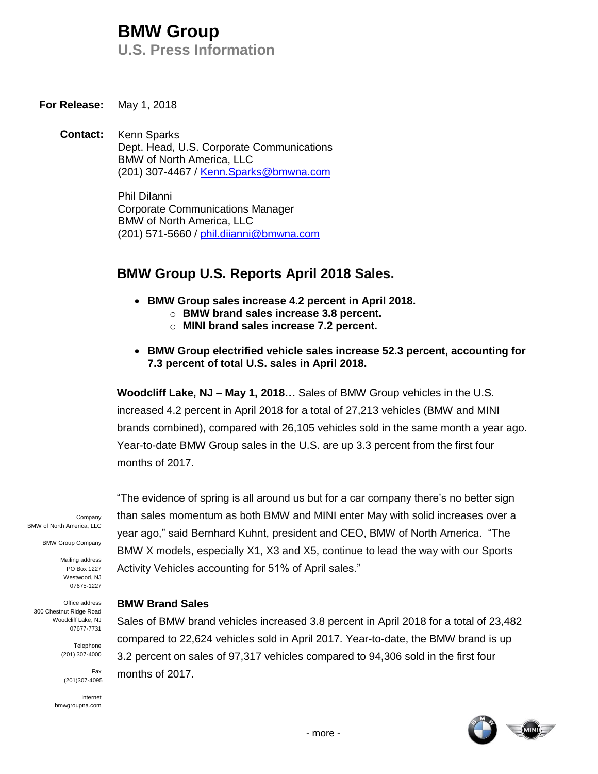# **BMW Group**

**U.S. Press Information**

**For Release:** May 1, 2018

**Contact:** Kenn Sparks Dept. Head, U.S. Corporate Communications BMW of North America, LLC (201) 307-4467 / [Kenn.Sparks@bmwna.com](mailto:Kenn.Sparks@bmwna.com)

> Phil DiIanni Corporate Communications Manager BMW of North America, LLC (201) 571-5660 / [phil.diianni@bmwna.com](mailto:phil.diianni@bmwna.com)

# **BMW Group U.S. Reports April 2018 Sales.**

- **BMW Group sales increase 4.2 percent in April 2018.** 
	- o **BMW brand sales increase 3.8 percent.**
	- o **MINI brand sales increase 7.2 percent.**
- **BMW Group electrified vehicle sales increase 52.3 percent, accounting for 7.3 percent of total U.S. sales in April 2018.**

**Woodcliff Lake, NJ – May 1, 2018…** Sales of BMW Group vehicles in the U.S. increased 4.2 percent in April 2018 for a total of 27,213 vehicles (BMW and MINI brands combined), compared with 26,105 vehicles sold in the same month a year ago. Year-to-date BMW Group sales in the U.S. are up 3.3 percent from the first four months of 2017.

Company BMW of North America, LLC

BMW Group Company

Mailing address PO Box 1227 Westwood, NJ 07675-1227

Office address 300 Chestnut Ridge Road Woodcliff Lake, NJ 07677-7731

> Telephone (201) 307-4000

> > Fax

(201)307-4095

Internet bmwgroupna.com

"The evidence of spring is all around us but for a car company there's no better sign than sales momentum as both BMW and MINI enter May with solid increases over a year ago," said Bernhard Kuhnt, president and CEO, BMW of North America. "The BMW X models, especially X1, X3 and X5, continue to lead the way with our Sports Activity Vehicles accounting for 51% of April sales."

#### **BMW Brand Sales**

Sales of BMW brand vehicles increased 3.8 percent in April 2018 for a total of 23,482 compared to 22,624 vehicles sold in April 2017. Year-to-date, the BMW brand is up 3.2 percent on sales of 97,317 vehicles compared to 94,306 sold in the first four months of 2017.

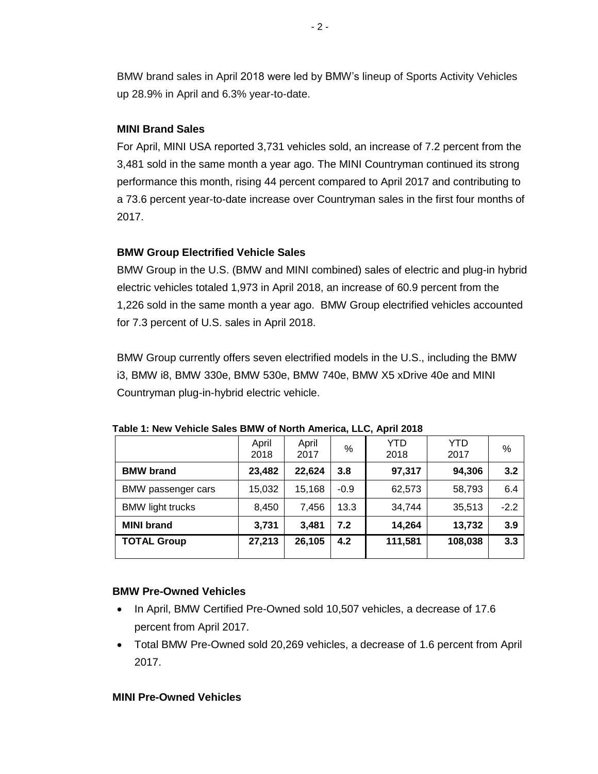BMW brand sales in April 2018 were led by BMW's lineup of Sports Activity Vehicles up 28.9% in April and 6.3% year-to-date.

### **MINI Brand Sales**

For April, MINI USA reported 3,731 vehicles sold, an increase of 7.2 percent from the 3,481 sold in the same month a year ago. The MINI Countryman continued its strong performance this month, rising 44 percent compared to April 2017 and contributing to a 73.6 percent year-to-date increase over Countryman sales in the first four months of 2017.

# **BMW Group Electrified Vehicle Sales**

BMW Group in the U.S. (BMW and MINI combined) sales of electric and plug-in hybrid electric vehicles totaled 1,973 in April 2018, an increase of 60.9 percent from the 1,226 sold in the same month a year ago. BMW Group electrified vehicles accounted for 7.3 percent of U.S. sales in April 2018.

BMW Group currently offers seven electrified models in the U.S., including the BMW i3, BMW i8, BMW 330e, BMW 530e, BMW 740e, BMW X5 xDrive 40e and MINI Countryman plug-in-hybrid electric vehicle.

|                         | April<br>2018 | April<br>2017 | %      | YTD<br>2018 | YTD<br>2017 | %      |
|-------------------------|---------------|---------------|--------|-------------|-------------|--------|
| <b>BMW</b> brand        | 23,482        | 22,624        | 3.8    | 97,317      | 94,306      | 3.2    |
| BMW passenger cars      | 15,032        | 15,168        | $-0.9$ | 62,573      | 58,793      | 6.4    |
| <b>BMW light trucks</b> | 8,450         | 7,456         | 13.3   | 34,744      | 35,513      | $-2.2$ |
| <b>MINI brand</b>       | 3,731         | 3,481         | 7.2    | 14,264      | 13,732      | 3.9    |
| <b>TOTAL Group</b>      | 27,213        | 26,105        | 4.2    | 111,581     | 108,038     | 3.3    |

**Table 1: New Vehicle Sales BMW of North America, LLC, April 2018**

#### **BMW Pre-Owned Vehicles**

- In April, BMW Certified Pre-Owned sold 10,507 vehicles, a decrease of 17.6 percent from April 2017.
- Total BMW Pre-Owned sold 20,269 vehicles, a decrease of 1.6 percent from April 2017.

# **MINI Pre-Owned Vehicles**